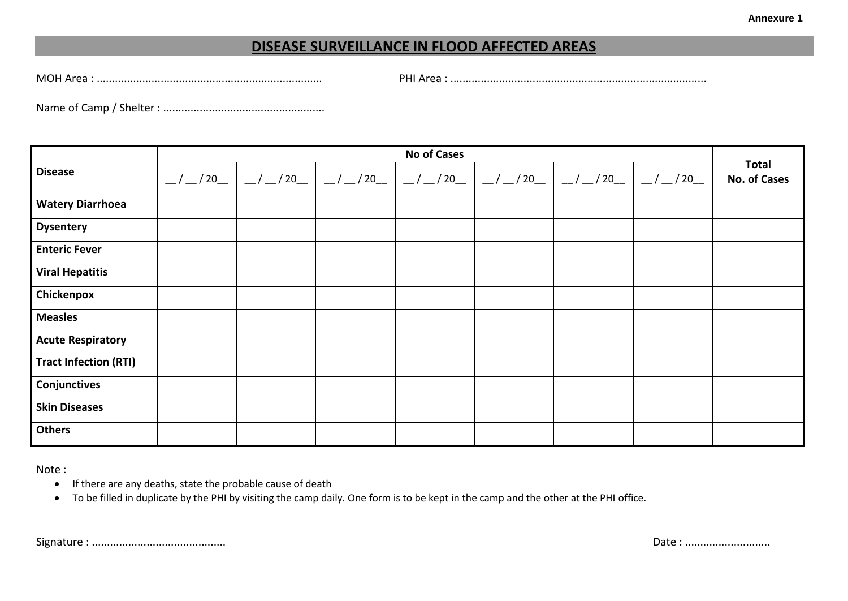## **DISEASE SURVEILLANCE IN FLOOD AFFECTED AREAS**

MOH Area : .......................................................................... PHI Area : ....................................................................................

Name of Camp / Shelter : .....................................................

| <b>Disease</b>               | <b>No of Cases</b> |                                                                                    |                         |  |                                            |  |                                    |                                     |
|------------------------------|--------------------|------------------------------------------------------------------------------------|-------------------------|--|--------------------------------------------|--|------------------------------------|-------------------------------------|
|                              |                    | $\frac{1}{2}$ / $\frac{1}{20}$ / $\frac{1}{20}$ / $\frac{1}{20}$ / $\frac{20}{20}$ | $\vert$ _/_/20_ $\vert$ |  | __/ __/ 20__   __/ __/ 20__   __/ __/ 20__ |  | $\frac{-}{-1}$ / 20 $\frac{-}{-1}$ | <b>Total</b><br><b>No. of Cases</b> |
| <b>Watery Diarrhoea</b>      |                    |                                                                                    |                         |  |                                            |  |                                    |                                     |
| <b>Dysentery</b>             |                    |                                                                                    |                         |  |                                            |  |                                    |                                     |
| <b>Enteric Fever</b>         |                    |                                                                                    |                         |  |                                            |  |                                    |                                     |
| <b>Viral Hepatitis</b>       |                    |                                                                                    |                         |  |                                            |  |                                    |                                     |
| Chickenpox                   |                    |                                                                                    |                         |  |                                            |  |                                    |                                     |
| <b>Measles</b>               |                    |                                                                                    |                         |  |                                            |  |                                    |                                     |
| <b>Acute Respiratory</b>     |                    |                                                                                    |                         |  |                                            |  |                                    |                                     |
| <b>Tract Infection (RTI)</b> |                    |                                                                                    |                         |  |                                            |  |                                    |                                     |
| Conjunctives                 |                    |                                                                                    |                         |  |                                            |  |                                    |                                     |
| <b>Skin Diseases</b>         |                    |                                                                                    |                         |  |                                            |  |                                    |                                     |
| <b>Others</b>                |                    |                                                                                    |                         |  |                                            |  |                                    |                                     |

Note :

- If there are any deaths, state the probable cause of death
- To be filled in duplicate by the PHI by visiting the camp daily. One form is to be kept in the camp and the other at the PHI office.

Signature : ............................................ Date : ............................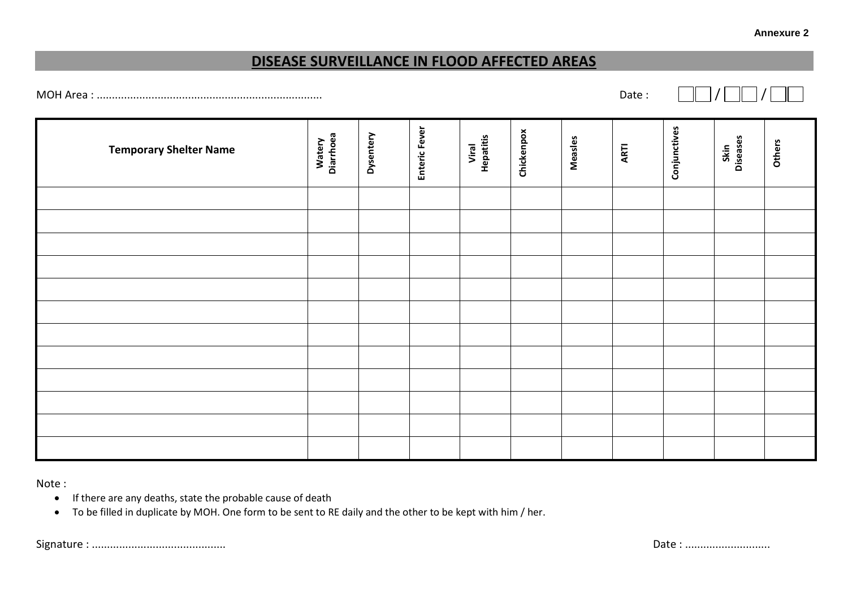## **DISEASE SURVEILLANCE IN FLOOD AFFECTED AREAS**

MOH Area : .......................................................................... Date : / /

**Conjunctives** Enteric Fever **Enteric Fever Chickenpox Dysentery Watery Diarrhoea Measles Viral Hepatitis Skin Diseases Others ARTI Temporary Shelter Name**

Note :

- If there are any deaths, state the probable cause of death
- To be filled in duplicate by MOH. One form to be sent to RE daily and the other to be kept with him / her.

Signature : ............................................ Date : ............................

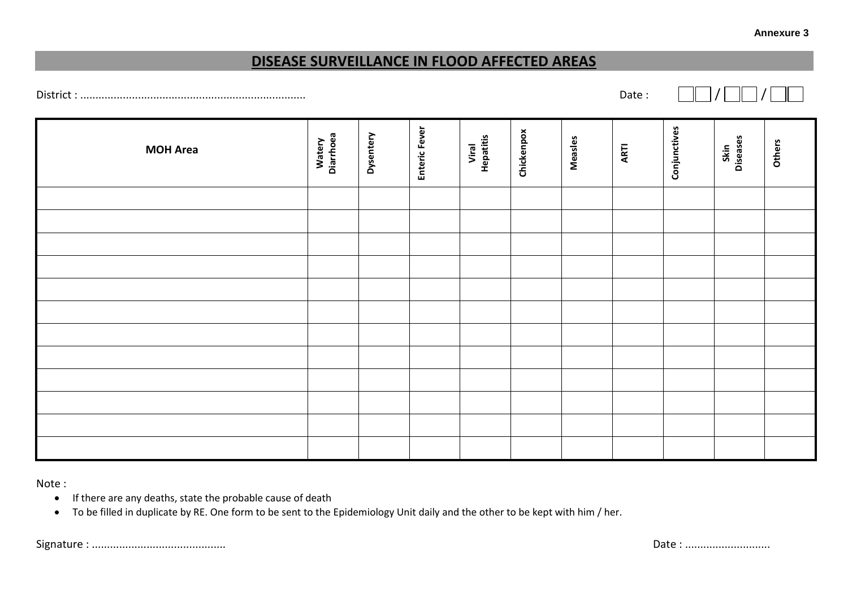## **DISEASE SURVEILLANCE IN FLOOD AFFECTED AREAS**

District : .......................................................................... Date : / /

Enteric Fever **Conjunctives Enteric Fever Chickenpox Dysentery Watery Diarrhoea Measles Viral Hepatitis Skin Diseases Others ARTI MOH Area**

Note :

- If there are any deaths, state the probable cause of death
- To be filled in duplicate by RE. One form to be sent to the Epidemiology Unit daily and the other to be kept with him / her.

Signature : ............................................ Date : ............................